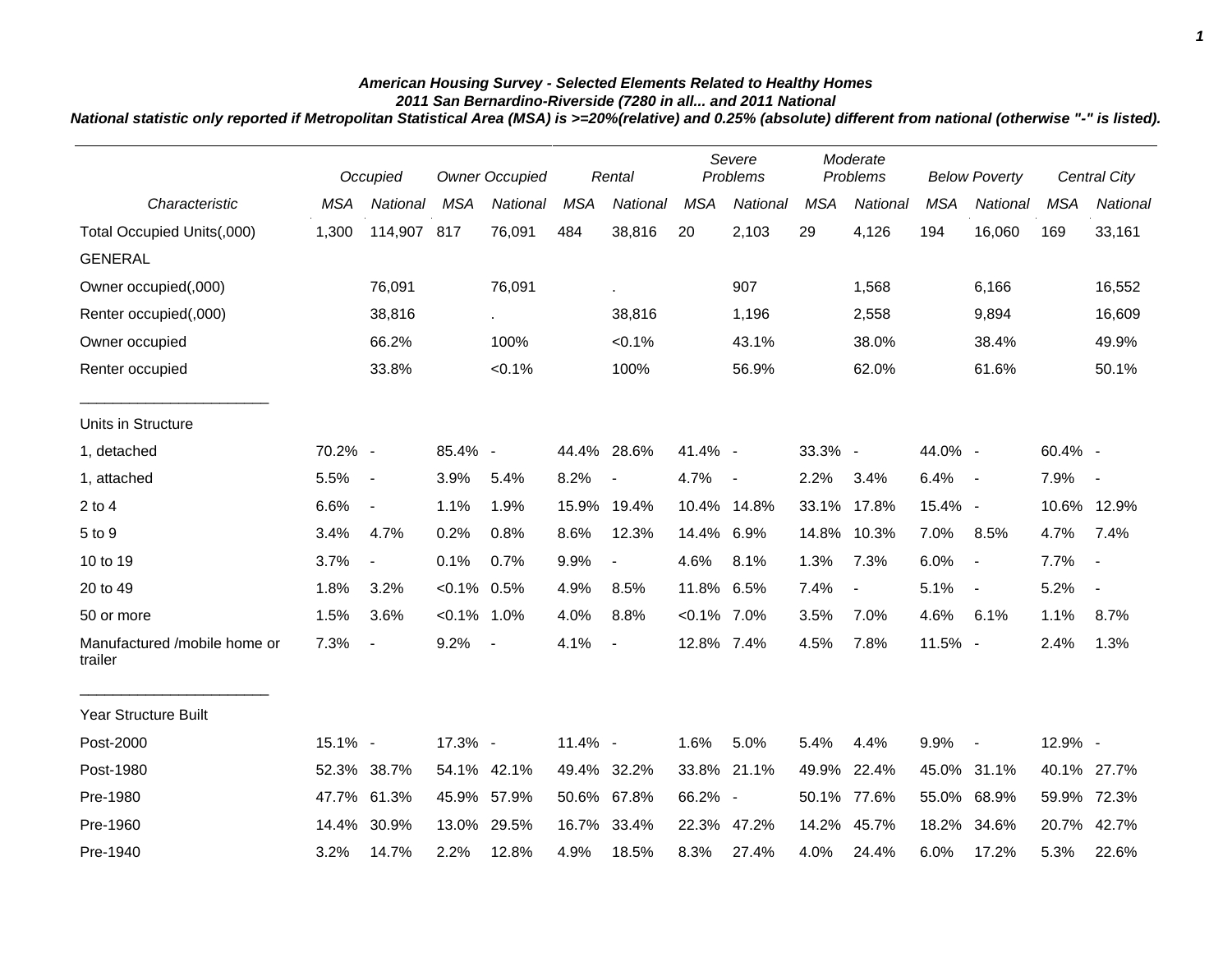## *American Housing Survey - Selected Elements Related to Healthy Homes*

*2011 San Bernardino-Riverside (7280 in all... and 2011 National*

*National statistic only reported if Metropolitan Statistical Area (MSA) is >=20%(relative) and 0.25% (absolute) different from national (otherwise "-" is listed).*

|                                         | Occupied   |                          | <b>Owner Occupied</b> |             | Rental     |                          | Severe<br>Problems |                          | Moderate<br>Problems |                          | <b>Below Poverty</b> |                          | <b>Central City</b> |                          |
|-----------------------------------------|------------|--------------------------|-----------------------|-------------|------------|--------------------------|--------------------|--------------------------|----------------------|--------------------------|----------------------|--------------------------|---------------------|--------------------------|
| Characteristic                          | <b>MSA</b> | National                 | <b>MSA</b>            | National    | <b>MSA</b> | National                 | <b>MSA</b>         | <b>National</b>          | <b>MSA</b>           | National                 | <b>MSA</b>           | National                 | <b>MSA</b>          | National                 |
| Total Occupied Units(,000)              | 1,300      | 114,907 817              |                       | 76,091      | 484        | 38,816                   | 20                 | 2,103                    | 29                   | 4,126                    | 194                  | 16,060                   | 169                 | 33,161                   |
| <b>GENERAL</b>                          |            |                          |                       |             |            |                          |                    |                          |                      |                          |                      |                          |                     |                          |
| Owner occupied(,000)                    |            | 76,091                   |                       | 76,091      |            | ä,                       |                    | 907                      |                      | 1,568                    |                      | 6,166                    |                     | 16,552                   |
| Renter occupied(,000)                   |            | 38,816                   |                       | $\sim$      |            | 38,816                   |                    | 1,196                    |                      | 2,558                    |                      | 9,894                    |                     | 16,609                   |
| Owner occupied                          |            | 66.2%                    |                       | 100%        |            | $< 0.1\%$                |                    | 43.1%                    |                      | 38.0%                    |                      | 38.4%                    |                     | 49.9%                    |
| Renter occupied                         |            | 33.8%                    |                       | < 0.1%      |            | 100%                     |                    | 56.9%                    |                      | 62.0%                    |                      | 61.6%                    |                     | 50.1%                    |
| Units in Structure                      |            |                          |                       |             |            |                          |                    |                          |                      |                          |                      |                          |                     |                          |
| 1, detached                             | 70.2% -    |                          | 85.4% -               |             |            | 44.4% 28.6%              | 41.4% -            |                          | 33.3% -              |                          | 44.0% -              |                          | 60.4% -             |                          |
| 1, attached                             | 5.5%       | $\sim$                   | 3.9%                  | 5.4%        | 8.2%       | $\overline{\phantom{a}}$ | 4.7%               | $\overline{\phantom{a}}$ | 2.2%                 | 3.4%                     | 6.4%                 | $\sim$ $-$               | 7.9%                | $\sim$                   |
| $2$ to $4$                              | 6.6%       | $\blacksquare$           | 1.1%                  | 1.9%        | 15.9%      | 19.4%                    |                    | 10.4% 14.8%              | 33.1%                | 17.8%                    | 15.4% -              |                          |                     | 10.6% 12.9%              |
| 5 to 9                                  | 3.4%       | 4.7%                     | 0.2%                  | 0.8%        | 8.6%       | 12.3%                    | 14.4% 6.9%         |                          | 14.8%                | 10.3%                    | 7.0%                 | 8.5%                     | 4.7%                | 7.4%                     |
| 10 to 19                                | 3.7%       | $\blacksquare$           | 0.1%                  | 0.7%        | 9.9%       | $\blacksquare$           | 4.6%               | 8.1%                     | 1.3%                 | 7.3%                     | 6.0%                 | $\blacksquare$           | 7.7%                | $\overline{\phantom{a}}$ |
| 20 to 49                                | 1.8%       | 3.2%                     | $< 0.1\%$ 0.5%        |             | 4.9%       | 8.5%                     | 11.8% 6.5%         |                          | 7.4%                 | $\overline{\phantom{a}}$ | 5.1%                 | $\blacksquare$           | 5.2%                | $\overline{\phantom{a}}$ |
| 50 or more                              | 1.5%       | 3.6%                     | $< 0.1\%$ 1.0%        |             | 4.0%       | 8.8%                     | $< 0.1\%$ 7.0%     |                          | 3.5%                 | 7.0%                     | 4.6%                 | 6.1%                     | 1.1%                | 8.7%                     |
| Manufactured /mobile home or<br>trailer | 7.3%       | $\overline{\phantom{a}}$ | 9.2%                  | $\sim$      | 4.1%       | $\overline{a}$           | 12.8% 7.4%         |                          | 4.5%                 | 7.8%                     | 11.5% -              |                          | 2.4%                | 1.3%                     |
| <b>Year Structure Built</b>             |            |                          |                       |             |            |                          |                    |                          |                      |                          |                      |                          |                     |                          |
| Post-2000                               | 15.1% -    |                          | 17.3% -               |             | 11.4% -    |                          | 1.6%               | 5.0%                     | 5.4%                 | 4.4%                     | 9.9%                 | $\overline{\phantom{a}}$ | 12.9% -             |                          |
| Post-1980                               | 52.3%      | 38.7%                    |                       | 54.1% 42.1% |            | 49.4% 32.2%              |                    | 33.8% 21.1%              | 49.9%                | 22.4%                    |                      | 45.0% 31.1%              |                     | 40.1% 27.7%              |
| Pre-1980                                | 47.7%      | 61.3%                    | 45.9%                 | 57.9%       |            | 50.6% 67.8%              | 66.2% -            |                          | 50.1%                | 77.6%                    | 55.0%                | 68.9%                    | 59.9%               | 72.3%                    |
| Pre-1960                                | 14.4%      | 30.9%                    | 13.0%                 | 29.5%       |            | 16.7% 33.4%              | 22.3%              | 47.2%                    | 14.2%                | 45.7%                    | 18.2%                | 34.6%                    | 20.7%               | 42.7%                    |
| Pre-1940                                | 3.2%       | 14.7%                    | 2.2%                  | 12.8%       | 4.9%       | 18.5%                    | 8.3%               | 27.4%                    | 4.0%                 | 24.4%                    | 6.0%                 | 17.2%                    | 5.3%                | 22.6%                    |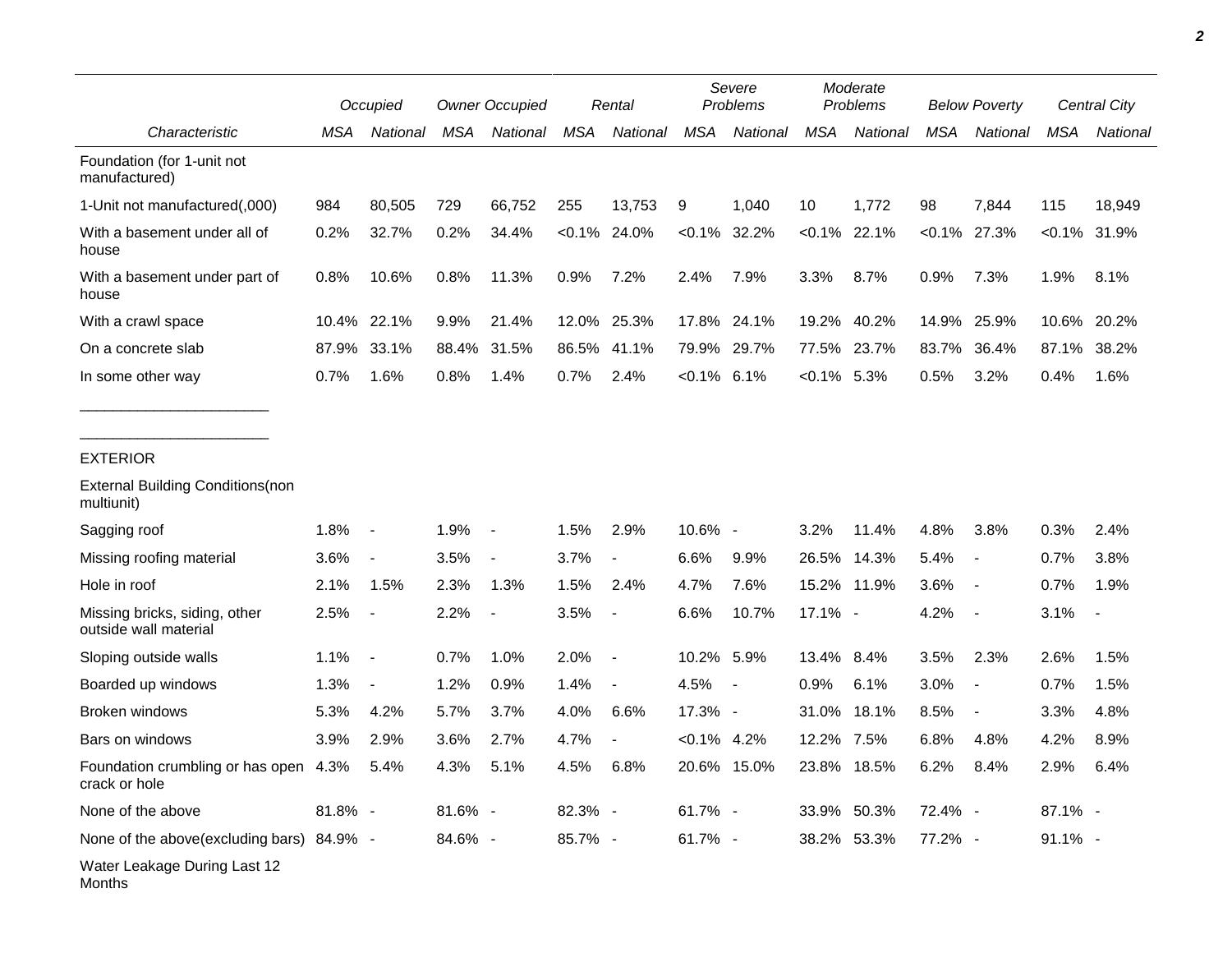|                                                             | Occupied |                          | <b>Owner Occupied</b> |                          | Rental     |                | Severe<br>Problems |             | Moderate<br>Problems |             | <b>Below Poverty</b> |                          | Central City |                |
|-------------------------------------------------------------|----------|--------------------------|-----------------------|--------------------------|------------|----------------|--------------------|-------------|----------------------|-------------|----------------------|--------------------------|--------------|----------------|
| Characteristic                                              | MSA      | National                 | MSA                   | National                 | <b>MSA</b> | National       | <b>MSA</b>         | National    | <b>MSA</b>           | National    | <b>MSA</b>           | National                 | <b>MSA</b>   | National       |
| Foundation (for 1-unit not<br>manufactured)                 |          |                          |                       |                          |            |                |                    |             |                      |             |                      |                          |              |                |
| 1-Unit not manufactured(,000)                               | 984      | 80,505                   | 729                   | 66,752                   | 255        | 13,753         | 9                  | 1,040       | 10                   | 1,772       | 98                   | 7,844                    | 115          | 18,949         |
| With a basement under all of<br>house                       | 0.2%     | 32.7%                    | 0.2%                  | 34.4%                    | $< 0.1\%$  | 24.0%          | $< 0.1\%$          | 32.2%       | $< 0.1\%$            | 22.1%       |                      | $< 0.1\%$ 27.3%          |              | $<0.1\%$ 31.9% |
| With a basement under part of<br>house                      | 0.8%     | 10.6%                    | 0.8%                  | 11.3%                    | 0.9%       | 7.2%           | 2.4%               | 7.9%        | 3.3%                 | 8.7%        | 0.9%                 | 7.3%                     | 1.9%         | 8.1%           |
| With a crawl space                                          | 10.4%    | 22.1%                    | 9.9%                  | 21.4%                    | 12.0%      | 25.3%          | 17.8%              | 24.1%       | 19.2%                | 40.2%       | 14.9%                | 25.9%                    | 10.6%        | 20.2%          |
| On a concrete slab                                          | 87.9%    | 33.1%                    | 88.4%                 | 31.5%                    | 86.5%      | 41.1%          | 79.9%              | 29.7%       | 77.5%                | 23.7%       | 83.7%                | 36.4%                    | 87.1%        | 38.2%          |
| In some other way                                           | 0.7%     | 1.6%                     | 0.8%                  | 1.4%                     | 0.7%       | 2.4%           | $< 0.1\%$ 6.1%     |             | $<0.1\%$ 5.3%        |             | 0.5%                 | 3.2%                     | 0.4%         | 1.6%           |
| <b>EXTERIOR</b>                                             |          |                          |                       |                          |            |                |                    |             |                      |             |                      |                          |              |                |
| <b>External Building Conditions (non</b><br>multiunit)      |          |                          |                       |                          |            |                |                    |             |                      |             |                      |                          |              |                |
| Sagging roof                                                | 1.8%     | $\blacksquare$           | 1.9%                  | $\overline{\phantom{a}}$ | 1.5%       | 2.9%           | 10.6% -            |             | 3.2%                 | 11.4%       | 4.8%                 | 3.8%                     | 0.3%         | 2.4%           |
| Missing roofing material                                    | 3.6%     | $\overline{\phantom{a}}$ | 3.5%                  | $\overline{\phantom{a}}$ | 3.7%       | $\blacksquare$ | 6.6%               | 9.9%        | 26.5%                | 14.3%       | 5.4%                 | $\overline{\phantom{a}}$ | 0.7%         | 3.8%           |
| Hole in roof                                                | 2.1%     | 1.5%                     | 2.3%                  | 1.3%                     | 1.5%       | 2.4%           | 4.7%               | 7.6%        |                      | 15.2% 11.9% | 3.6%                 | $\overline{\phantom{a}}$ | 0.7%         | 1.9%           |
| Missing bricks, siding, other<br>outside wall material      | 2.5%     | $\blacksquare$           | 2.2%                  |                          | 3.5%       | $\blacksquare$ | 6.6%               | 10.7%       | 17.1% -              |             | 4.2%                 | $\overline{\phantom{a}}$ | 3.1%         | $\blacksquare$ |
| Sloping outside walls                                       | 1.1%     | $\blacksquare$           | 0.7%                  | 1.0%                     | 2.0%       | $\blacksquare$ | 10.2% 5.9%         |             | 13.4%                | 8.4%        | 3.5%                 | 2.3%                     | 2.6%         | 1.5%           |
| Boarded up windows                                          | 1.3%     | $\blacksquare$           | 1.2%                  | 0.9%                     | 1.4%       | $\blacksquare$ | 4.5%               | $\sim$ $-$  | 0.9%                 | 6.1%        | 3.0%                 | $\overline{\phantom{a}}$ | 0.7%         | 1.5%           |
| Broken windows                                              | 5.3%     | 4.2%                     | 5.7%                  | 3.7%                     | 4.0%       | 6.6%           | 17.3% -            |             | 31.0%                | 18.1%       | 8.5%                 | $\overline{\phantom{a}}$ | 3.3%         | 4.8%           |
| Bars on windows                                             | 3.9%     | 2.9%                     | 3.6%                  | 2.7%                     | 4.7%       |                | $< 0.1\%$          | 4.2%        | 12.2%                | 7.5%        | 6.8%                 | 4.8%                     | 4.2%         | 8.9%           |
| Foundation crumbling or has open 4.3% 5.4%<br>crack or hole |          |                          | 4.3% 5.1%             |                          | 4.5%       | 6.8%           |                    | 20.6% 15.0% |                      | 23.8% 18.5% | 6.2%                 | 8.4%                     | 2.9%         | 6.4%           |
| None of the above                                           | 81.8% -  |                          | 81.6% -               |                          | 82.3% -    |                | 61.7% -            |             |                      | 33.9% 50.3% | 72.4% -              |                          | 87.1% -      |                |
| None of the above(excluding bars) 84.9% -                   |          |                          | 84.6% -               |                          | 85.7% -    |                | 61.7% -            |             |                      | 38.2% 53.3% | 77.2% -              |                          | $91.1\%$ -   |                |
| Water Leakage During Last 12<br>Months                      |          |                          |                       |                          |            |                |                    |             |                      |             |                      |                          |              |                |

*2*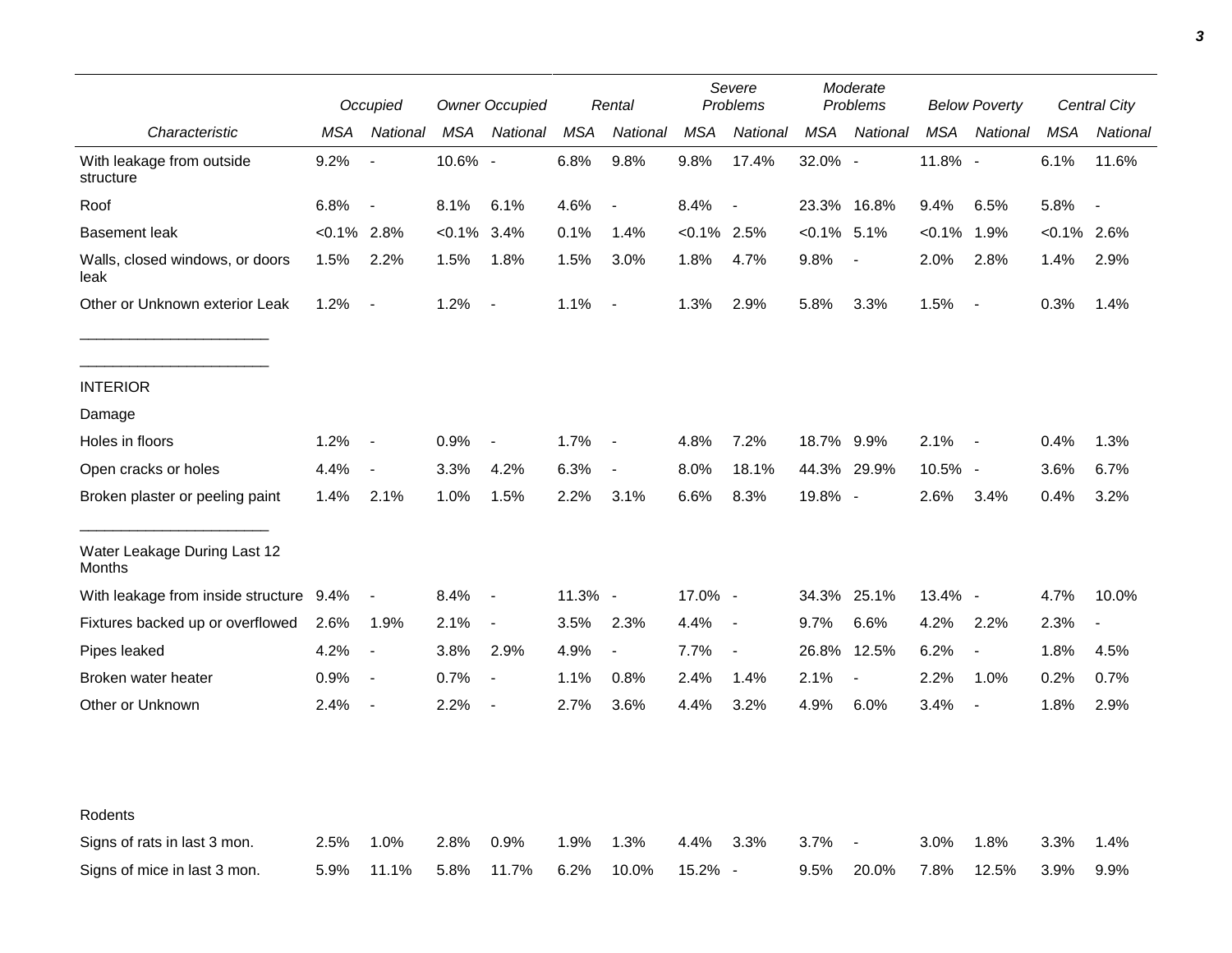|                                               |                | Occupied                 |           | <b>Owner Occupied</b>    |         | Rental                   |                | Severe<br>Problems       |                | Moderate<br>Problems     |           | <b>Below Poverty</b>     |          | Central City   |
|-----------------------------------------------|----------------|--------------------------|-----------|--------------------------|---------|--------------------------|----------------|--------------------------|----------------|--------------------------|-----------|--------------------------|----------|----------------|
| Characteristic                                | MSA            | National                 | MSA       | National                 | MSA     | National                 | MSA            | National                 | MSA            | National                 | MSA       | National                 | MSA      | National       |
| With leakage from outside<br>structure        | 9.2%           | $\blacksquare$           | 10.6% -   |                          | 6.8%    | 9.8%                     | 9.8%           | 17.4%                    | 32.0% -        |                          | 11.8% -   |                          | 6.1%     | 11.6%          |
| Roof                                          | 6.8%           | $\blacksquare$           | 8.1%      | 6.1%                     | 4.6%    | $\overline{\phantom{a}}$ | 8.4%           | $\overline{\phantom{a}}$ |                | 23.3% 16.8%              | 9.4%      | 6.5%                     | 5.8%     |                |
| <b>Basement leak</b>                          | $< 0.1\%$ 2.8% |                          | $< 0.1\%$ | 3.4%                     | 0.1%    | 1.4%                     | $< 0.1\%$ 2.5% |                          | $< 0.1\%$ 5.1% |                          | $< 0.1\%$ | 1.9%                     | $<0.1\%$ | 2.6%           |
| Walls, closed windows, or doors<br>leak       | 1.5%           | 2.2%                     | 1.5%      | 1.8%                     | 1.5%    | 3.0%                     | 1.8%           | 4.7%                     | 9.8%           | $\overline{\phantom{a}}$ | 2.0%      | 2.8%                     | 1.4%     | 2.9%           |
| Other or Unknown exterior Leak                | 1.2%           | $\blacksquare$           | 1.2%      | $\blacksquare$           | 1.1%    | $\overline{\phantom{a}}$ | 1.3%           | 2.9%                     | 5.8%           | 3.3%                     | 1.5%      | $\sim$                   | 0.3%     | 1.4%           |
| <b>INTERIOR</b>                               |                |                          |           |                          |         |                          |                |                          |                |                          |           |                          |          |                |
| Damage                                        |                |                          |           |                          |         |                          |                |                          |                |                          |           |                          |          |                |
| Holes in floors                               | 1.2%           |                          | 0.9%      | $\blacksquare$           | 1.7%    | $\overline{\phantom{a}}$ | 4.8%           | 7.2%                     | 18.7% 9.9%     |                          | 2.1%      | $\sim$                   | 0.4%     | 1.3%           |
| Open cracks or holes                          | 4.4%           | $\overline{\phantom{a}}$ | 3.3%      | 4.2%                     | 6.3%    | $\blacksquare$           | 8.0%           | 18.1%                    |                | 44.3% 29.9%              | 10.5% -   |                          | 3.6%     | 6.7%           |
| Broken plaster or peeling paint               | 1.4%           | 2.1%                     | 1.0%      | 1.5%                     | 2.2%    | 3.1%                     | 6.6%           | 8.3%                     | 19.8% -        |                          | 2.6%      | 3.4%                     | 0.4%     | 3.2%           |
| Water Leakage During Last 12<br><b>Months</b> |                |                          |           |                          |         |                          |                |                          |                |                          |           |                          |          |                |
| With leakage from inside structure 9.4%       |                | $\overline{\phantom{a}}$ | 8.4%      | $\blacksquare$           | 11.3% - |                          | 17.0% -        |                          |                | 34.3% 25.1%              | 13.4% -   |                          | 4.7%     | 10.0%          |
| Fixtures backed up or overflowed              | 2.6%           | 1.9%                     | 2.1%      | $\overline{\phantom{a}}$ | 3.5%    | 2.3%                     | 4.4%           | $\sim$                   | $9.7\%$        | 6.6%                     | 4.2%      | 2.2%                     | 2.3%     | $\blacksquare$ |
| Pipes leaked                                  | 4.2%           | $\blacksquare$           | 3.8%      | 2.9%                     | 4.9%    | $\overline{\phantom{a}}$ | 7.7%           | $\blacksquare$           | 26.8%          | 12.5%                    | 6.2%      | $\overline{\phantom{a}}$ | 1.8%     | 4.5%           |
| Broken water heater                           | 0.9%           | $\overline{\phantom{a}}$ | 0.7%      | $\overline{\phantom{a}}$ | 1.1%    | 0.8%                     | 2.4%           | 1.4%                     | 2.1%           | $\overline{\phantom{a}}$ | 2.2%      | 1.0%                     | 0.2%     | 0.7%           |
| Other or Unknown                              | 2.4%           | $\overline{\phantom{a}}$ | 2.2%      | $\overline{\phantom{a}}$ | 2.7%    | 3.6%                     | 4.4%           | 3.2%                     | 4.9%           | 6.0%                     | 3.4%      | $\overline{\phantom{a}}$ | 1.8%     | 2.9%           |
| Rodents                                       |                |                          |           |                          |         |                          |                |                          |                |                          |           |                          |          |                |
| Signs of rats in last 3 mon.                  | 2.5%           | 1.0%                     | 2.8%      | 0.9%                     | 1.9%    | 1.3%                     | 4.4%           | 3.3%                     | 3.7%           | $\overline{\phantom{a}}$ | 3.0%      | 1.8%                     | 3.3%     | 1.4%           |
| Signs of mice in last 3 mon.                  | 5.9%           | 11.1%                    | 5.8%      | 11.7%                    | 6.2%    | 10.0%                    | 15.2% -        |                          | 9.5%           | 20.0%                    | 7.8%      | 12.5%                    | 3.9%     | 9.9%           |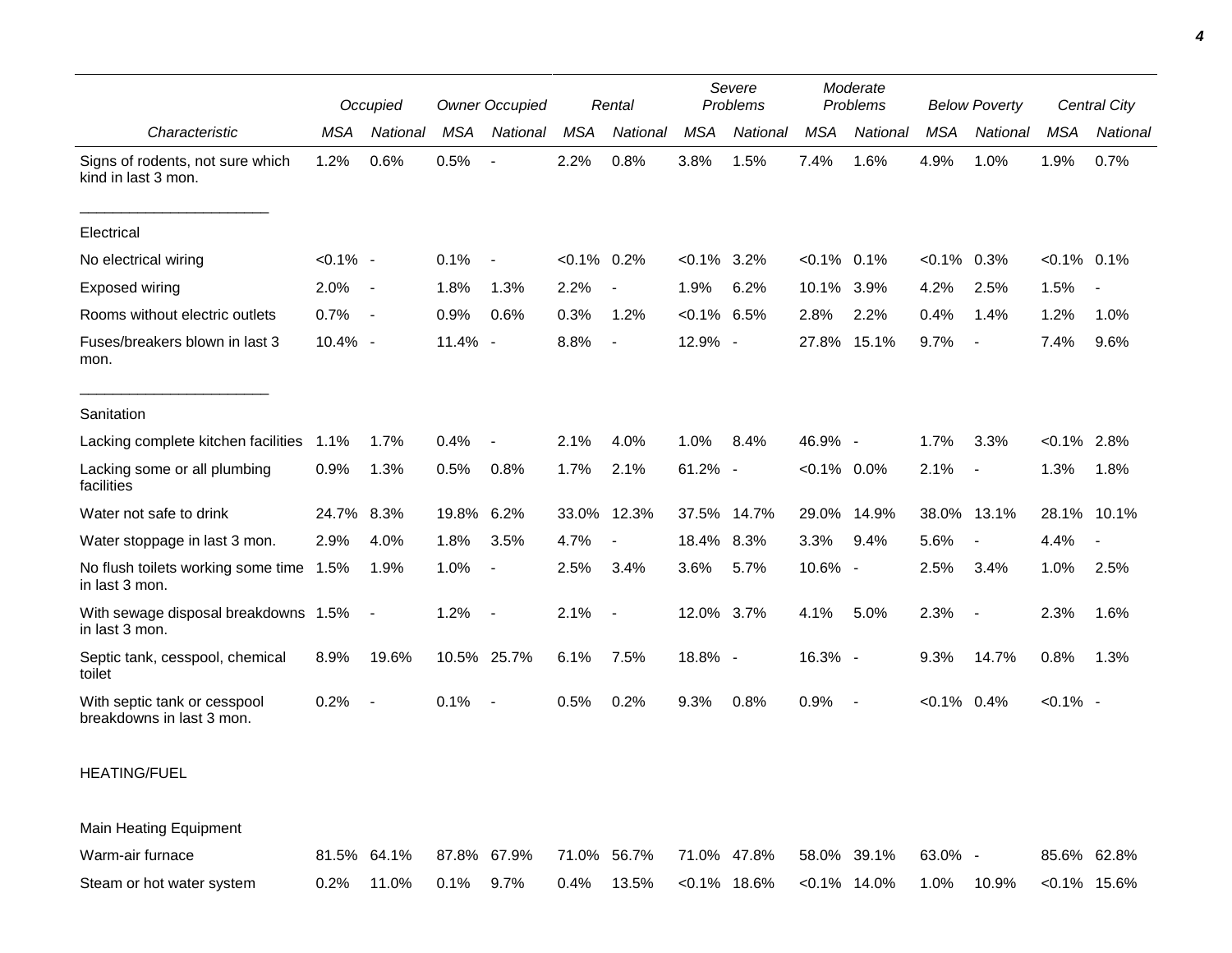|                                                           |             | Occupied                 |            | <b>Owner Occupied</b>    |                | Rental                   |                | Severe<br>Problems       |                | Moderate<br>Problems |                | <b>Below Poverty</b>     |                | Central City |
|-----------------------------------------------------------|-------------|--------------------------|------------|--------------------------|----------------|--------------------------|----------------|--------------------------|----------------|----------------------|----------------|--------------------------|----------------|--------------|
| Characteristic                                            | MSA         | National                 | <b>MSA</b> | National                 | <b>MSA</b>     | National                 | <b>MSA</b>     | National                 | <b>MSA</b>     | National             | <b>MSA</b>     | National                 | MSA            | National     |
| Signs of rodents, not sure which<br>kind in last 3 mon.   | 1.2%        | 0.6%                     | 0.5%       | $\overline{\phantom{a}}$ | 2.2%           | 0.8%                     | 3.8%           | 1.5%                     | 7.4%           | 1.6%                 | 4.9%           | 1.0%                     | 1.9%           | 0.7%         |
| Electrical                                                |             |                          |            |                          |                |                          |                |                          |                |                      |                |                          |                |              |
| No electrical wiring                                      | $< 0.1\%$ - |                          | 0.1%       | $\blacksquare$           | $< 0.1\%$ 0.2% |                          | $< 0.1\%$ 3.2% |                          | $< 0.1\%$ 0.1% |                      | $< 0.1\%$      | 0.3%                     | $< 0.1\%$ 0.1% |              |
| Exposed wiring                                            | 2.0%        | $\overline{\phantom{a}}$ | 1.8%       | 1.3%                     | 2.2%           |                          | 1.9%           | 6.2%                     | 10.1%          | 3.9%                 | 4.2%           | 2.5%                     | 1.5%           |              |
| Rooms without electric outlets                            | 0.7%        | $\overline{\phantom{a}}$ | 0.9%       | 0.6%                     | 0.3%           | 1.2%                     | $< 0.1\%$      | 6.5%                     | 2.8%           | 2.2%                 | 0.4%           | 1.4%                     | 1.2%           | 1.0%         |
| Fuses/breakers blown in last 3<br>mon.                    | 10.4% -     |                          | 11.4% -    |                          | 8.8%           | $\overline{\phantom{a}}$ | 12.9% -        |                          | 27.8%          | 15.1%                | 9.7%           | $\overline{\phantom{a}}$ | 7.4%           | 9.6%         |
| Sanitation                                                |             |                          |            |                          |                |                          |                |                          |                |                      |                |                          |                |              |
| Lacking complete kitchen facilities                       | 1.1%        | 1.7%                     | 0.4%       |                          | 2.1%           | 4.0%                     | 1.0%           | 8.4%                     | 46.9% -        |                      | 1.7%           | 3.3%                     | $< 0.1\%$      | 2.8%         |
| Lacking some or all plumbing<br>facilities                | 0.9%        | 1.3%                     | 0.5%       | 0.8%                     | 1.7%           | 2.1%                     | 61.2%          | $\overline{\phantom{a}}$ | $< 0.1\%$ 0.0% |                      | 2.1%           | $\overline{\phantom{a}}$ | 1.3%           | 1.8%         |
| Water not safe to drink                                   | 24.7%       | 8.3%                     | 19.8% 6.2% |                          | 33.0%          | 12.3%                    | 37.5%          | 14.7%                    | 29.0%          | 14.9%                | 38.0%          | 13.1%                    | 28.1%          | 10.1%        |
| Water stoppage in last 3 mon.                             | 2.9%        | 4.0%                     | 1.8%       | 3.5%                     | 4.7%           |                          | 18.4% 8.3%     |                          | 3.3%           | 9.4%                 | 5.6%           | ÷,                       | 4.4%           |              |
| No flush toilets working some time 1.5%<br>in last 3 mon. |             | 1.9%                     | 1.0%       | $\overline{\phantom{a}}$ | 2.5%           | 3.4%                     | 3.6%           | 5.7%                     | 10.6% -        |                      | 2.5%           | 3.4%                     | 1.0%           | 2.5%         |
| With sewage disposal breakdowns 1.5%<br>in last 3 mon.    |             | $\blacksquare$           | 1.2%       |                          | 2.1%           | $\overline{\phantom{a}}$ | 12.0% 3.7%     |                          | 4.1%           | 5.0%                 | 2.3%           | $\overline{\phantom{a}}$ | 2.3%           | 1.6%         |
| Septic tank, cesspool, chemical<br>toilet                 | 8.9%        | 19.6%                    |            | 10.5% 25.7%              | 6.1%           | 7.5%                     | 18.8% -        |                          | 16.3% -        |                      | 9.3%           | 14.7%                    | 0.8%           | 1.3%         |
| With septic tank or cesspool<br>breakdowns in last 3 mon. | 0.2%        | $\overline{\phantom{a}}$ | 0.1%       |                          | 0.5%           | 0.2%                     | 9.3%           | 0.8%                     | 0.9%           |                      | $< 0.1\%$ 0.4% |                          | $< 0.1\%$ -    |              |

## HEATING/FUEL

Main Heating Equipment

| Warm-air furnace          |                         | $81.5\%$ 64.1% 87.8% 67.9% 71.0% 56.7% 71.0% 47.8% 58.0% 39.1% 63.0% - |  |                                               |  |                        | 85.6% 62.8% |  |
|---------------------------|-------------------------|------------------------------------------------------------------------|--|-----------------------------------------------|--|------------------------|-------------|--|
| Steam or hot water system | $0.2\%$ 11.0% 0.1% 9.7% |                                                                        |  | $0.4\%$ 13.5% < $0.1\%$ 18.6% < $0.1\%$ 14.0% |  | 1.0% 10.9% <0.1% 15.6% |             |  |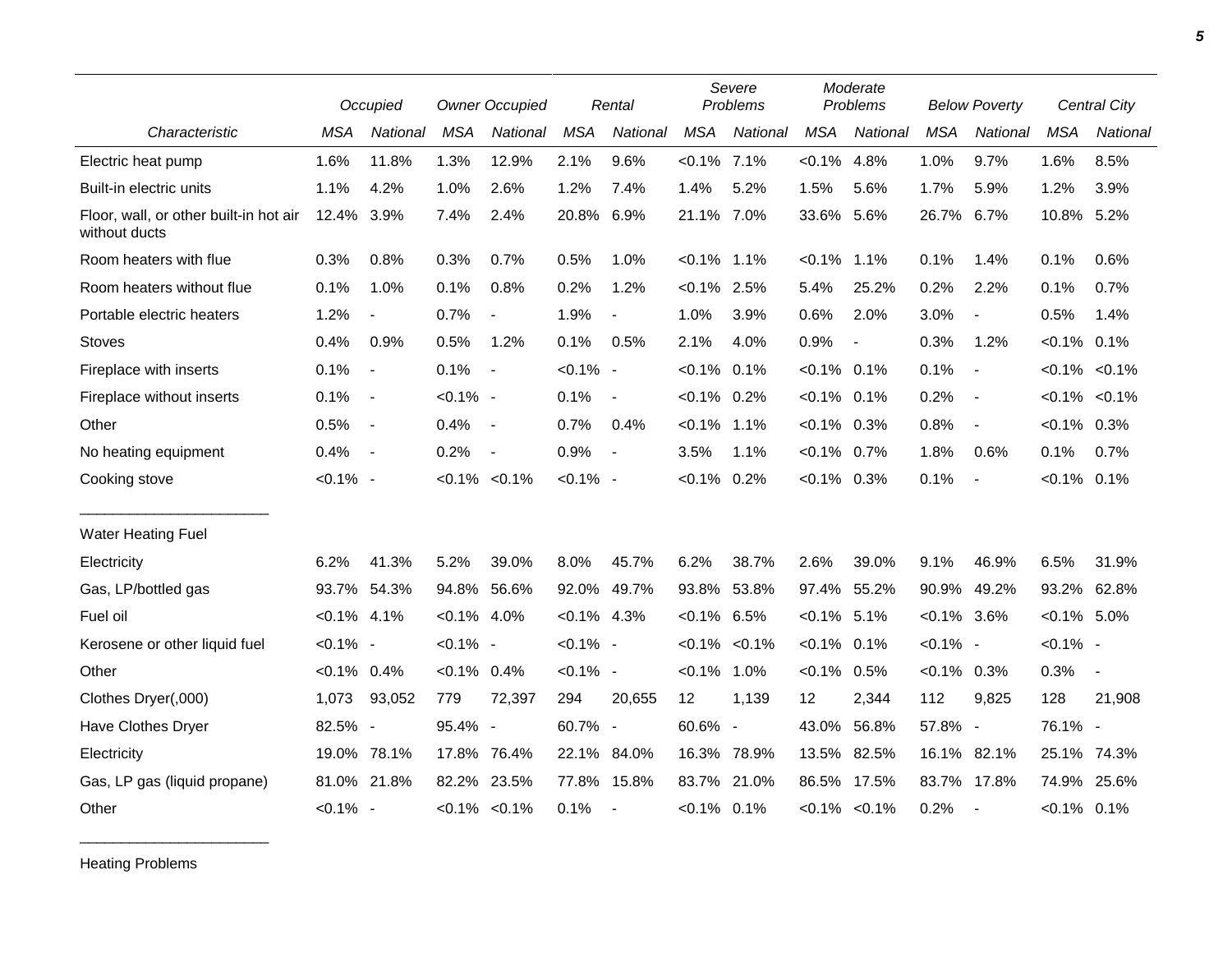|                                                         |                | Occupied                 |                | <b>Owner Occupied</b>    |                | Rental                   |                | Severe<br>Problems  |                | Moderate<br>Problems |                | <b>Below Poverty</b>     |                | Central City             |
|---------------------------------------------------------|----------------|--------------------------|----------------|--------------------------|----------------|--------------------------|----------------|---------------------|----------------|----------------------|----------------|--------------------------|----------------|--------------------------|
| Characteristic                                          | <b>MSA</b>     | <b>National</b>          | <b>MSA</b>     | National                 | <b>MSA</b>     | National                 | <b>MSA</b>     | National            | <b>MSA</b>     | National             | <b>MSA</b>     | National                 | <b>MSA</b>     | <b>National</b>          |
| Electric heat pump                                      | 1.6%           | 11.8%                    | 1.3%           | 12.9%                    | 2.1%           | 9.6%                     | $< 0.1\%$ 7.1% |                     | $< 0.1\%$      | 4.8%                 | 1.0%           | 9.7%                     | 1.6%           | 8.5%                     |
| Built-in electric units                                 | 1.1%           | 4.2%                     | 1.0%           | 2.6%                     | 1.2%           | 7.4%                     | 1.4%           | 5.2%                | 1.5%           | 5.6%                 | 1.7%           | 5.9%                     | 1.2%           | 3.9%                     |
| Floor, wall, or other built-in hot air<br>without ducts | 12.4% 3.9%     |                          | 7.4%           | 2.4%                     | 20.8%          | 6.9%                     | 21.1% 7.0%     |                     | 33.6%          | 5.6%                 | 26.7%          | 6.7%                     | 10.8% 5.2%     |                          |
| Room heaters with flue                                  | 0.3%           | 0.8%                     | 0.3%           | 0.7%                     | 0.5%           | 1.0%                     | $< 0.1\%$ 1.1% |                     | $< 0.1\%$      | $1.1\%$              | 0.1%           | 1.4%                     | 0.1%           | 0.6%                     |
| Room heaters without flue                               | 0.1%           | 1.0%                     | 0.1%           | 0.8%                     | 0.2%           | 1.2%                     | $< 0.1\%$ 2.5% |                     | 5.4%           | 25.2%                | 0.2%           | 2.2%                     | 0.1%           | 0.7%                     |
| Portable electric heaters                               | 1.2%           | $\overline{\phantom{a}}$ | 0.7%           | $\overline{\phantom{a}}$ | 1.9%           | $\blacksquare$           | 1.0%           | 3.9%                | 0.6%           | 2.0%                 | 3.0%           | $\overline{\phantom{a}}$ | 0.5%           | 1.4%                     |
| <b>Stoves</b>                                           | 0.4%           | 0.9%                     | 0.5%           | 1.2%                     | 0.1%           | 0.5%                     | 2.1%           | 4.0%                | 0.9%           | $\overline{a}$       | 0.3%           | 1.2%                     | $< 0.1\%$ 0.1% |                          |
| Fireplace with inserts                                  | 0.1%           | $\blacksquare$           | 0.1%           | $\overline{\phantom{a}}$ | $< 0.1\%$ -    |                          | $< 0.1\%$ 0.1% |                     | $< 0.1\%$      | 0.1%                 | 0.1%           | $\overline{\phantom{a}}$ |                | $< 0.1\%$ $< 0.1\%$      |
| Fireplace without inserts                               | 0.1%           | $\sim$                   | $< 0.1\%$ -    |                          | 0.1%           | $\blacksquare$           | $< 0.1\%$ 0.2% |                     | $< 0.1\%$ 0.1% |                      | 0.2%           | $\overline{\phantom{a}}$ |                | $< 0.1\%$ $< 0.1\%$      |
| Other                                                   | 0.5%           | $\overline{\phantom{a}}$ | 0.4%           | $\sim$                   | 0.7%           | 0.4%                     | $< 0.1\%$ 1.1% |                     | $<0.1\%$ 0.3%  |                      | 0.8%           | $\overline{\phantom{a}}$ | $< 0.1\%$ 0.3% |                          |
| No heating equipment                                    | 0.4%           | $\overline{\phantom{a}}$ | 0.2%           | $\overline{\phantom{a}}$ | 0.9%           | $\overline{\phantom{a}}$ | 3.5%           | 1.1%                | $< 0.1\%$      | $0.7\%$              | 1.8%           | 0.6%                     | 0.1%           | 0.7%                     |
| Cooking stove                                           | $< 0.1\%$ -    |                          |                | $< 0.1\% < 0.1\%$        | $< 0.1\%$ -    |                          | $< 0.1\%$ 0.2% |                     | $<0.1\%$ 0.3%  |                      | 0.1%           | $\overline{\phantom{a}}$ | $< 0.1\%$ 0.1% |                          |
| <b>Water Heating Fuel</b>                               |                |                          |                |                          |                |                          |                |                     |                |                      |                |                          |                |                          |
| Electricity                                             | 6.2%           | 41.3%                    | 5.2%           | 39.0%                    | 8.0%           | 45.7%                    | 6.2%           | 38.7%               | 2.6%           | 39.0%                | 9.1%           | 46.9%                    | 6.5%           | 31.9%                    |
| Gas, LP/bottled gas                                     | 93.7%          | 54.3%                    | 94.8% 56.6%    |                          |                | 92.0% 49.7%              | 93.8%          | 53.8%               | 97.4%          | 55.2%                | 90.9%          | 49.2%                    |                | 93.2% 62.8%              |
| Fuel oil                                                | $< 0.1\%$ 4.1% |                          | $< 0.1\%$ 4.0% |                          | $< 0.1\%$ 4.3% |                          | $< 0.1\%$ 6.5% |                     | $< 0.1\%$ 5.1% |                      | $< 0.1\%$ 3.6% |                          | $< 0.1\%$ 5.0% |                          |
| Kerosene or other liquid fuel                           | $< 0.1\%$ -    |                          | $< 0.1\%$ -    |                          | $< 0.1\%$ -    |                          |                | $< 0.1\%$ $< 0.1\%$ | $< 0.1\%$      | 0.1%                 | $< 0.1\%$ -    |                          | $< 0.1\%$ -    |                          |
| Other                                                   | $< 0.1\%$      | 0.4%                     | $< 0.1\%$ 0.4% |                          | $< 0.1\%$ -    |                          | $< 0.1\%$ 1.0% |                     | $< 0.1\%$      | 0.5%                 | $< 0.1\%$ 0.3% |                          | 0.3%           | $\overline{\phantom{a}}$ |
| Clothes Dryer(,000)                                     | 1,073          | 93,052                   | 779            | 72,397                   | 294            | 20,655                   | 12             | 1,139               | 12             | 2,344                | 112            | 9,825                    | 128            | 21,908                   |
| Have Clothes Dryer                                      | 82.5% -        |                          | 95.4% -        |                          | 60.7% -        |                          | 60.6% -        |                     | 43.0%          | 56.8%                | 57.8% -        |                          | 76.1% -        |                          |
| Electricity                                             | 19.0%          | 78.1%                    | 17.8%          | 76.4%                    |                | 22.1% 84.0%              | 16.3%          | 78.9%               | 13.5%          | 82.5%                | 16.1% 82.1%    |                          |                | 25.1% 74.3%              |
| Gas, LP gas (liquid propane)                            |                | 81.0% 21.8%              | 82.2%          | 23.5%                    |                | 77.8% 15.8%              | 83.7%          | 21.0%               |                | 86.5% 17.5%          |                | 83.7% 17.8%              | 74.9%          | 25.6%                    |
| Other                                                   | $< 0.1\%$ -    |                          |                | $< 0.1\%$ $< 0.1\%$      | 0.1%           |                          | $< 0.1\%$ 0.1% |                     |                | $< 0.1\%$ $< 0.1\%$  | 0.2%           |                          | $< 0.1\%$ 0.1% |                          |

Heating Problems

\_\_\_\_\_\_\_\_\_\_\_\_\_\_\_\_\_\_\_\_\_\_\_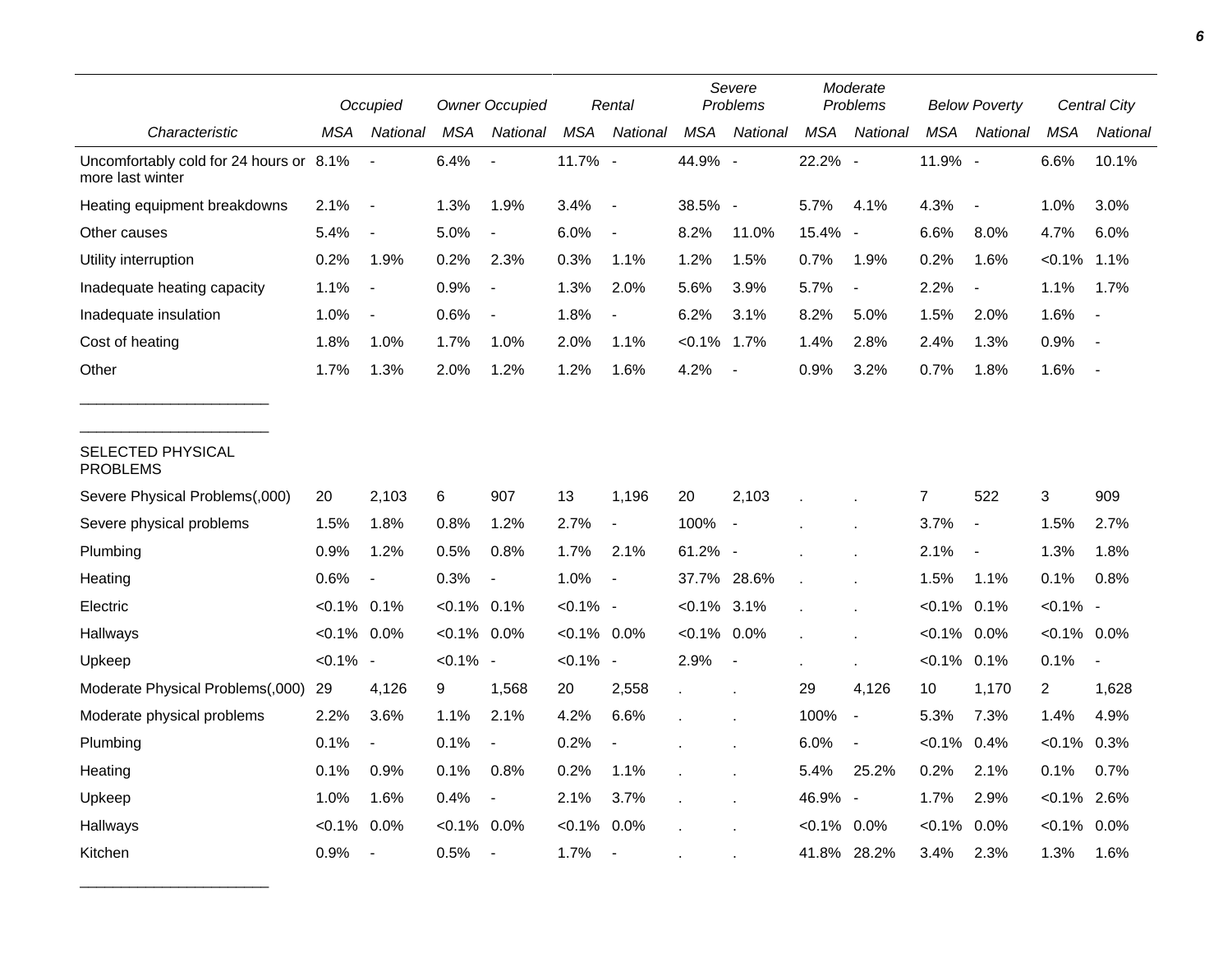|                                                             |                | Occupied                 |                | <b>Owner Occupied</b>    |                | Rental                   |                | Severe<br>Problems       |                | Moderate<br>Problems         |            | <b>Below Poverty</b>     |                | Central City             |
|-------------------------------------------------------------|----------------|--------------------------|----------------|--------------------------|----------------|--------------------------|----------------|--------------------------|----------------|------------------------------|------------|--------------------------|----------------|--------------------------|
| Characteristic                                              | MSA            | National                 | <b>MSA</b>     | National                 | <b>MSA</b>     | National                 | <b>MSA</b>     | National                 | <b>MSA</b>     | National                     | <b>MSA</b> | National                 | MSA            | National                 |
| Uncomfortably cold for 24 hours or 8.1%<br>more last winter |                | $\blacksquare$           | 6.4%           | $\overline{a}$           | 11.7% -        |                          | 44.9% -        |                          | 22.2%          | $\overline{\phantom{a}}$     | 11.9% -    |                          | 6.6%           | 10.1%                    |
| Heating equipment breakdowns                                | 2.1%           | $\blacksquare$           | 1.3%           | 1.9%                     | 3.4%           | $\blacksquare$           | 38.5% -        |                          | 5.7%           | 4.1%                         | 4.3%       | $\overline{\phantom{a}}$ | 1.0%           | 3.0%                     |
| Other causes                                                | 5.4%           | $\overline{\phantom{a}}$ | 5.0%           | $\overline{a}$           | 6.0%           | $\blacksquare$           | 8.2%           | 11.0%                    | 15.4%          | $\overline{\phantom{a}}$     | 6.6%       | 8.0%                     | 4.7%           | 6.0%                     |
| Utility interruption                                        | 0.2%           | 1.9%                     | 0.2%           | 2.3%                     | 0.3%           | 1.1%                     | 1.2%           | 1.5%                     | 0.7%           | 1.9%                         | 0.2%       | 1.6%                     | $< 0.1\%$      | 1.1%                     |
| Inadequate heating capacity                                 | 1.1%           | $\blacksquare$           | 0.9%           | $\overline{\phantom{a}}$ | 1.3%           | 2.0%                     | 5.6%           | 3.9%                     | 5.7%           | $\qquad \qquad \blacksquare$ | 2.2%       | $\overline{\phantom{a}}$ | 1.1%           | 1.7%                     |
| Inadequate insulation                                       | 1.0%           | $\overline{\phantom{a}}$ | 0.6%           | $\overline{\phantom{a}}$ | 1.8%           | $\overline{\phantom{a}}$ | 6.2%           | 3.1%                     | 8.2%           | 5.0%                         | 1.5%       | 2.0%                     | 1.6%           | $\overline{\phantom{a}}$ |
| Cost of heating                                             | 1.8%           | 1.0%                     | 1.7%           | 1.0%                     | 2.0%           | 1.1%                     | $< 0.1\%$      | 1.7%                     | 1.4%           | 2.8%                         | 2.4%       | 1.3%                     | 0.9%           | $\blacksquare$           |
| Other                                                       | 1.7%           | 1.3%                     | 2.0%           | 1.2%                     | 1.2%           | 1.6%                     | 4.2%           |                          | 0.9%           | 3.2%                         | 0.7%       | 1.8%                     | 1.6%           | $\blacksquare$           |
| SELECTED PHYSICAL<br><b>PROBLEMS</b>                        |                |                          |                |                          |                |                          |                |                          |                |                              |            |                          |                |                          |
| Severe Physical Problems(,000)                              | 20             | 2,103                    | 6              | 907                      | 13             | 1,196                    | 20             | 2,103                    |                |                              | 7          | 522                      | 3              | 909                      |
| Severe physical problems                                    | 1.5%           | 1.8%                     | 0.8%           | 1.2%                     | 2.7%           | $\blacksquare$           | 100%           | $\overline{\phantom{a}}$ |                |                              | 3.7%       | $\overline{\phantom{a}}$ | 1.5%           | 2.7%                     |
| Plumbing                                                    | 0.9%           | 1.2%                     | 0.5%           | 0.8%                     | 1.7%           | 2.1%                     | 61.2% -        |                          |                |                              | 2.1%       | $\overline{\phantom{a}}$ | 1.3%           | 1.8%                     |
| Heating                                                     | 0.6%           | $\overline{\phantom{a}}$ | 0.3%           | $\blacksquare$           | 1.0%           | $\overline{\phantom{a}}$ | 37.7%          | 28.6%                    |                |                              | 1.5%       | 1.1%                     | 0.1%           | 0.8%                     |
| Electric                                                    | $< 0.1\%$ 0.1% |                          | $< 0.1\%$ 0.1% |                          | $< 0.1\%$ -    |                          | $< 0.1\%$ 3.1% |                          |                |                              | $< 0.1\%$  | 0.1%                     | $< 0.1\%$ -    |                          |
| Hallways                                                    | $< 0.1\%$ 0.0% |                          | $< 0.1\%$ 0.0% |                          | $< 0.1\%$ 0.0% |                          | $< 0.1\%$ 0.0% |                          |                |                              | $< 0.1\%$  | 0.0%                     | $< 0.1\%$ 0.0% |                          |
| Upkeep                                                      | $< 0.1\%$ -    |                          | $< 0.1\%$ -    |                          | $< 0.1\%$ -    |                          | 2.9%           | $\blacksquare$           |                |                              | $< 0.1\%$  | 0.1%                     | 0.1%           |                          |
| Moderate Physical Problems(,000)                            | 29             | 4,126                    | 9              | 1,568                    | 20             | 2,558                    |                |                          | 29             | 4,126                        | 10         | 1,170                    | $\overline{c}$ | 1,628                    |
| Moderate physical problems                                  | 2.2%           | 3.6%                     | 1.1%           | 2.1%                     | 4.2%           | 6.6%                     |                |                          | 100%           | $\blacksquare$               | 5.3%       | 7.3%                     | 1.4%           | 4.9%                     |
| Plumbing                                                    | 0.1%           | $\blacksquare$           | 0.1%           | $\blacksquare$           | 0.2%           |                          |                |                          | 6.0%           | $\qquad \qquad \blacksquare$ | $< 0.1\%$  | 0.4%                     | $< 0.1\%$      | 0.3%                     |
| Heating                                                     | 0.1%           | 0.9%                     | 0.1%           | 0.8%                     | 0.2%           | 1.1%                     |                |                          | 5.4%           | 25.2%                        | 0.2%       | 2.1%                     | 0.1%           | 0.7%                     |
| Upkeep                                                      | 1.0%           | 1.6%                     | 0.4%           | $\overline{\phantom{a}}$ | 2.1%           | 3.7%                     |                |                          | 46.9% -        |                              | 1.7%       | 2.9%                     | $< 0.1\%$      | 2.6%                     |
| Hallways                                                    | $< 0.1\%$      | 0.0%                     | $< 0.1\%$      | 0.0%                     | $< 0.1\%$      | 0.0%                     |                |                          | $< 0.1\%$ 0.0% |                              | $< 0.1\%$  | 0.0%                     | $< 0.1\%$ 0.0% |                          |
| Kitchen                                                     | 0.9%           | $\overline{\phantom{a}}$ | 0.5%           | $\blacksquare$           | 1.7%           | $\blacksquare$           |                |                          |                | 41.8% 28.2%                  | 3.4%       | 2.3%                     | 1.3%           | 1.6%                     |

\_\_\_\_\_\_\_\_\_\_\_\_\_\_\_\_\_\_\_\_\_\_\_